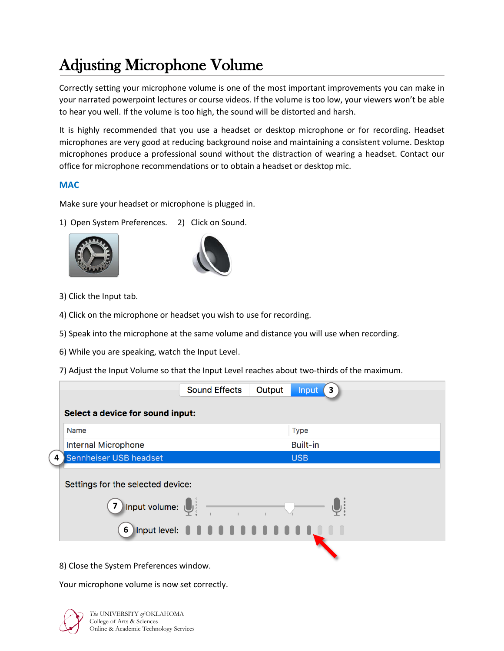## Adjusting Microphone Volume

Correctly setting your microphone volume is one of the most important improvements you can make in your narrated powerpoint lectures or course videos. If the volume is too low, your viewers won't be able to hear you well. If the volume is too high, the sound will be distorted and harsh.

It is highly recommended that you use a headset or desktop microphone or for recording. Headset microphones are very good at reducing background noise and maintaining a consistent volume. Desktop microphones produce a professional sound without the distraction of wearing a headset. Contact our office for microphone recommendations or to obtain a headset or desktop mic.

## **MAC**

Make sure your headset or microphone is plugged in.

1) Open System Preferences. 2) Click on Sound.





- 3) Click the Input tab.
- 4) Click on the microphone or headset you wish to use for recording.
- 5) Speak into the microphone at the same volume and distance you will use when recording.
- 6) While you are speaking, watch the Input Level.
- 7) Adjust the Input Volume so that the Input Level reaches about two-thirds of the maximum.

|                                                                          | <b>Sound Effects</b>                         | Output | <b>Input</b><br>3 |
|--------------------------------------------------------------------------|----------------------------------------------|--------|-------------------|
| Select a device for sound input:                                         |                                              |        |                   |
| <b>Name</b>                                                              |                                              |        | <b>Type</b>       |
| <b>Internal Microphone</b>                                               |                                              |        | <b>Built-in</b>   |
| Sennheiser USB headset<br>4                                              |                                              |        | <b>USB</b>        |
| Settings for the selected device:<br>7 Input volume: $\bigcup_{i=1}^{n}$ | 6 Input level: 0 0 0 0 0 0 0 0 0 0 0 0 0 0 0 |        |                   |
| 8) Close the System Preferences window.                                  |                                              |        |                   |

Your microphone volume is now set correctly.



*The* UNIVERSITY *of* OKLAHOMA College of Arts & Sciences Online & Academic Technology Services